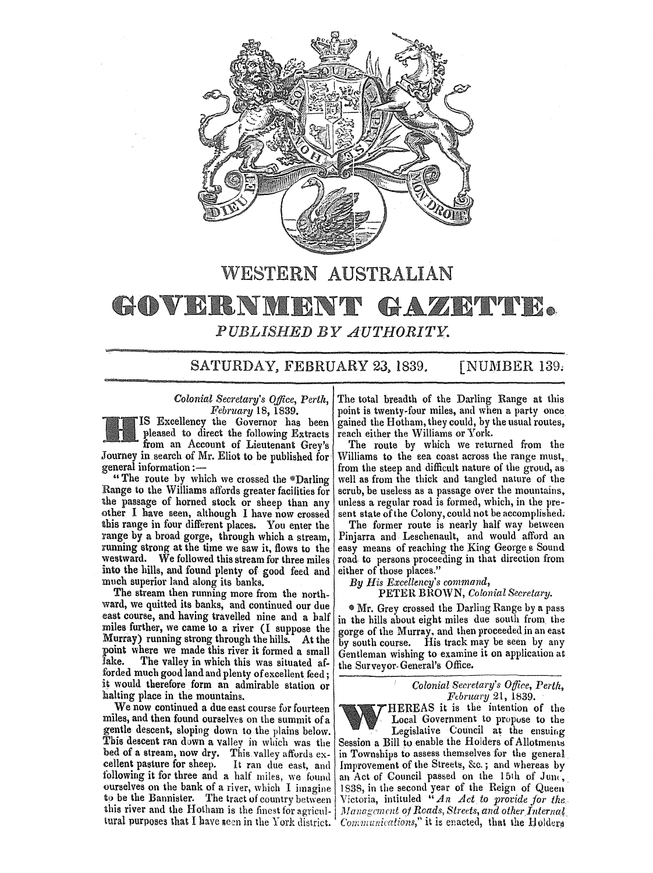

# WESTERN AUSTRALIAN

## GOVERNMENT GAZRT TR *PUBLISHED BY AUTHORITY.*

SATURDAY, FEBRUARY 23, 1839. [NUMBER 139.

pleased to direct the following Extracts from an Account of Lieutenant Grey's Journey in search of Mr. Eliot to be published for Williams to the sea coast across the range must, general information:—

Range to the Williams affords greater facilities for scrub, be useless as a passage over the mountains, the passage of horned stock or sheep than any unless a regular road is formed, which, in the prethe passage of horned stock or sheep than any unless a regular road is formed, which, in the pre-<br>other I have seen, although I have now crossed sent state of the Colony, could not be accomplished. other I have seen, although I have now crossed sent state of the Colony, could not be accomplished.<br>this range in four different places. You enter the The former route is nearly half way between this range in four different places. You enter the The former route is nearly half way between<br>range by a broad gorge, through which a stream, Pinjarra and Leschenault, and would afford an range by a broad gorge, through which a stream, running strong at the time we saw it, flows to the running strong at the time we saw it, flows to the easy means of reaching the King George s Sound westward. We followed this stream for three miles road to persons proceeding in that direction from into the hills, and found plenty of good feed and either of those places."<br>much superior land along its banks.<br> $By H is \x{E}x\ncellency's \x{common}d,$ much superior land along its banks.

The stream then running more from the north-<br>ward, we quitted its banks, and continued our due<br> $\frac{1}{2}$  Mr. Grev crossed the Darling Range by a part ward, we quitted its banks, and continued our due  $\frac{1}{2}$  Mr. Grey crossed the Darling Range by a pass east course, and having travelled nine and a balf in the hills about eight miles due south from the The valley in which this was situated af- the Surveyor-General's Office. forded much good land and plenty of excellent feed; it would therefore form an admirable station or *Colonial Secretary's Office, Perth,*  halting place in the mountains.<br>We now continued a due east course for fourteen **FALLOCAL THEREAS** it is the intention of the

We now continued a due east course for fourteen  $\begin{array}{c} \bigcup_{n=1}^{\infty} HEREAS$  it is the intention of the iles, and then found ourselves on the summit of a miles, and then found ourselves on the summit of a Local Government to propuse to the gentle descent, sloping down to the plains below. Legislative Council at the ensuing gentle descent, sloping down to the plains below.  $\Box$  Legislative Council at the ensuing This descent ran down a valley in which was the Session a Bill to enable the Holders of Allotments This descent ran down a valley in which was the Session a Bill to enable the Holders of Allotments bed of a stream, now dry. This valley affords  $ex$ - in Townships to assess themselves for the general bed of a stream, now dry. This valley affords  $ex-$  in Townships to assess themselves for the general cellent pasture for sheep. It ran due east, and Improvement of the Streets, &c.; and whereas by cellent pasture for sheep. It ran due east, and Improvement of the Streets, &c.; and whereas by following it for three and a half miles, we found an Act of Council passed on the 15th of Junc, ourselves on the bank of a river, which I imagine 1838, in the second year of the Reign of Queen<br>to be the Bannister. The tract of country between Victoria, intituled "An Act to provide for the this river and the Hotham is the finest for agricul- *Management of Roads, Streets, and other Internal*.

*Colonial Secretary's Office, Perth,* The total breadth of the Darling Range at this *February* 18, 1839. *February* 18, 1839. point is twenty-four miles, and when a party once gained the Hotham, they could, by the usual routes,<br>reach either the Williams or York.

The route by which we returned from the neral information :—<br>"The route by which we crossed the \*Darling well as from the thick and tangled nature of the well as from the thick and tangled nature of the scrub, be useless as a passage over the mountains,

road to persons proceeding in that direction from either of those places."

in the hills about eight miles due south from the miles further, we came to a river (I suppose the gorge of the Murray. and then proceeded in an east Murray) running strong through the hills. At the  $\begin{bmatrix} \text{core} \\ \text{by south course.} \end{bmatrix}$  His track may be seen by any by south course. His track may be seen by any point where we made this river it formed a small Gentleman wishing to examine it on application at face. The valley in which this was situated at the Summan Guaral's Office.

Victoria, intituled " An Act to provide for the. tural purposes that I have seen in the York district.  $'$  Communications," it is enacted, that the Holders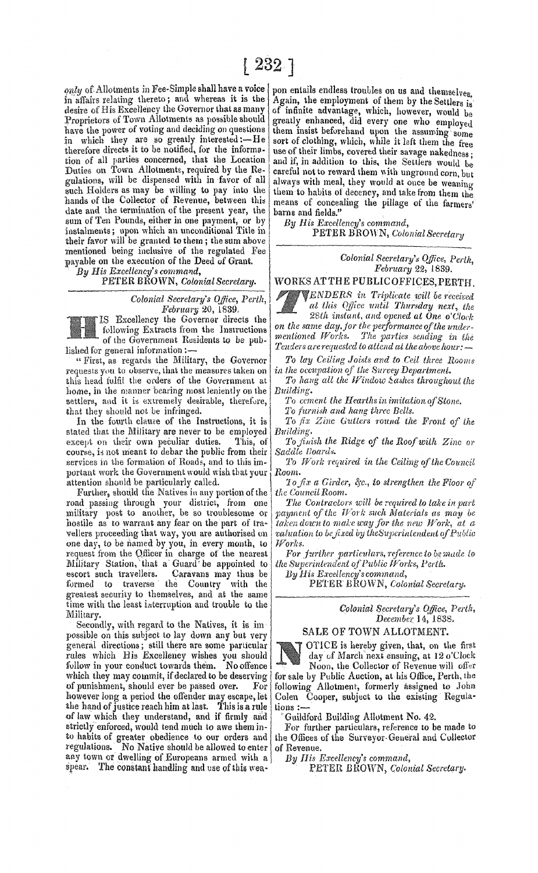only of Allotments in Fee-Simple shall have a voice in affairs relating thereto; and whereas it is the desire of His Excellency the Governor that as many Proprietors of Town Allotments as possible should have the power of voting and deciding on questions in which they are so greatly interested:-He<br>therefore directs it to be notified, for the information of all parties concerned, that the Location Duties on Town Allotments, required by the Regulations, will be dispensed with in favor of all such Holders as may be willing to pay into the hands of the Collector of Revenue, between this date and the termination of the present year, the sum of Ten Pounds, either in one payment, or by instalments; upon which an unconditional Title in their favor will be granted to them; the sum above mentioned being inclusive of the regulated Fee payable on the execution of the Deed of Grant.

By His Excellency's command,

PETER BROWN, Colonial Secretary.

Colonial Secretary's Office, Perth, February 20, 1839.

IS Excellency the Governor directs the following Extracts from the Instructions of the Government Residents to be published for general information:

"First, as regards the Military, the Governor requests you to observe, that the measures taken on this head fulfil the orders of the Government at home, in the manner bearing most leniently on the settlers, and it is extremely desirable, therefore, that they should not be infringed.

In the fourth clause of the Instructions, it is stated that the Military are never to be employed except on their own peculiar duties. This, of course, is not meant to debar the public from their services in the formation of Roads, and to this important work the Government would wish that your attention should be particularly called.

Further, should the Natives in any portion of the road passing through your district, from one military post to another, be so troublesome or hostile as to warrant any fear on the part of travellers proceeding that way, you are authorised on one day, to be named by you, in every month, to request from the Officer in charge of the nearest<br>Military Station, that a Guard be appointed to escort such travellers. Caravans may thus be the Country with the formed to traverse greatest security to themselves, and at the same time with the least interruption and trouble to the Military.

Secondly, with regard to the Natives, it is im possible on this subject to lay down any but very general directions; still there are some particular rules which His Excellency wishes you should follow in your conduct towards them. No offence which they may commit, if declared to be deserving of punishment, should ever be passed over. For however long a period the offender may escape, let the hand of justice reach him at last. This is a rule of law which they understand, and if firmly and strictly enforced, would tend much to awe them into habits of greater obedience to our orders and regulations. No Native should be allowed to enter any town or dwelling of Europeans armed with a spear. The constant handling and use of this wea-

pon entails endless troubles on us and themselves. Again, the employment of them by the Settlers is of infinite advantage, which, however, would be greatly enhanced, did every one who employed them insist beforehand upon the assuming some sort of clothing, which, while it left them the free use of their limbs, covered their savage nakedness; and if, in addition to this, the Settlers would be careful not to reward them with unground corn, but always with meal, they would at once be weaning them to habits of decency, and take from them the means of concealing the pillage of the farmers' barns and fields."

By His Excellency's command,

PETER BROWN, Colonial Secretary

Colonial Secretary's Office, Perth, February 22, 1839.

WORKS AT THE PUBLIC OFFICES. PERTH.

ENDERS in Triplicate will be received at this Office until Thursday next, the 28th instant, and opened at One o'Clock

on the same day, for the performance of the undermentioned Works. The parties sending in the Tenders are requested to attend at the above hour:

To lay Ceiling Joists and to Ceil three Rooms in the occupation of the Survey Department.

To hang all the Window Sashes throughout the Building.

To cement the Hearths in imitation of Stone.

To furnish and hang three Bells.

To fix Zinc Gutters round the Front of the Building.

To finish the Ridge of the Roof with Zinc or Saddle Boards.

To Work required in the Ceiling of the Council Room.

To fix a Girder, &c., to strengthen the Floor of the Council Room.

The Contractors will be required to take in part naument of the Work such Materials as may be taken down to make way for the new Work, at a valuation to be fixed by the Superintendent of Public Works.

For further particulars, reference to be made to the Superintendent of Public Works, Perth.

By His Excellency's command,

PETER BROWN, Colonial Secretary.

Colonial Secretary's Office, Perth, December 14, 1838.

### SALE OF TOWN ALLOTMENT.

OTICE is hereby given, that, on the first day of March next ensuing, at 12 o'Clock

Noon, the Collector of Revenue will offer for sale by Public Auction, at his Office, Perth, the following Allotment, formerly assigned to John Colen Cooper, subject to the existing Regulations:

Guildford Building Allotment No. 42.

For further particulars, reference to be made to<br>the Offices of the Surveyor-General and Collector of Revenue.

By His Excellency's command,

PETER BROWN, Colonial Secretary.